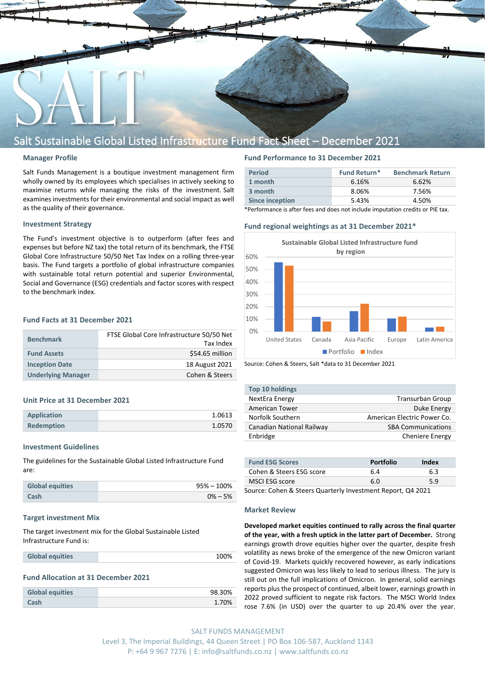

## Salt Sustainable Global Listed Infrastructure Fund Fact Sheet – December 2021

#### **Manager Profile**

Salt Funds Management is a boutique investment management firm wholly owned by its employees which specialises in actively seeking to maximise returns while managing the risks of the investment. Salt examines investments for their environmental and social impact as well as the quality of their governance.

#### **Investment Strategy**

The Fund's investment objective is to outperform (after fees and expenses but before NZ tax) the total return of its benchmark, the FTSE Global Core Infrastructure 50/50 Net Tax Index on a rolling three-year basis. The Fund targets a portfolio of global infrastructure companies with sustainable total return potential and superior Environmental, Social and Governance (ESG) credentials and factor scores with respect to the benchmark index.

### **Fund Facts at 31 December 2021**

| <b>Benchmark</b>          | FTSE Global Core Infrastructure 50/50 Net<br>Tax Index |
|---------------------------|--------------------------------------------------------|
|                           |                                                        |
| <b>Fund Assets</b>        | \$54.65 million                                        |
| <b>Inception Date</b>     | 18 August 2021                                         |
| <b>Underlying Manager</b> | Cohen & Steers                                         |

#### **Unit Price at 31 December 2021**

| <b>Application</b> | 1.0613 |
|--------------------|--------|
| <b>Redemption</b>  | 1.0570 |

#### **Investment Guidelines**

The guidelines for the Sustainable Global Listed Infrastructure Fund are:

| <b>Global equities</b> | $95\% - 100\%$ |
|------------------------|----------------|
| Cash                   | $0\% - 5\%$    |

#### **Target investment Mix**

The target investment mix for the Global Sustainable Listed Infrastructure Fund is:

#### **Fund Allocation at 31 December 2021**

| <b>Global equities</b> | 98.30% |
|------------------------|--------|
| Cash                   | 1.70%  |

#### **Fund Performance to 31 December 2021**

| <b>Period</b>          | <b>Fund Return*</b> | <b>Benchmark Return</b> |
|------------------------|---------------------|-------------------------|
| 1 month                | 6.16%               | 6.62%                   |
| 3 month                | 8.06%               | 7.56%                   |
| <b>Since inception</b> | 5.43%               | 4.50%                   |

\*Performance is after fees and does not include imputation credits or PIE tax.

### **Fund regional weightings as at 31 December 2021\***



Source: Cohen & Steers, Salt \*data to 31 December 2021

| Top 10 holdings           |                             |
|---------------------------|-----------------------------|
| NextEra Energy            | <b>Transurban Group</b>     |
| American Tower            | Duke Energy                 |
| Norfolk Southern          | American Electric Power Co. |
| Canadian National Railway | <b>SBA Communications</b>   |
| Enbridge                  | <b>Cheniere Energy</b>      |

| <b>Fund ESG Scores</b>   | <b>Portfolio</b> | Index |
|--------------------------|------------------|-------|
| Cohen & Steers ESG score | 6.4              | 6.3   |
| MSCI ESG score           | 6.0              | 5.9   |

Source: Cohen & Steers Quarterly Investment Report, Q4 2021

#### **Market Review**

**Developed market equities continued to rally across the final quarter of the year, with a fresh uptick in the latter part of December.** Strong earnings growth drove equities higher over the quarter, despite fresh volatility as news broke of the emergence of the new Omicron variant of Covid-19. Markets quickly recovered however, as early indications suggested Omicron was less likely to lead to serious illness. The jury is still out on the full implications of Omicron. In general, solid earnings reports plus the prospect of continued, albeit lower, earnings growth in 2022 proved sufficient to negate risk factors. The MSCI World Index rose 7.6% (in USD) over the quarter to up 20.4% over the year.

SALT FUNDS MANAGEMENT Level 3, The Imperial Buildings, 44 Queen Street | PO Box 106-587, Auckland 1143 P: +64 9 967 7276 | E: info@saltfunds.co.nz | www.saltfunds.co.nz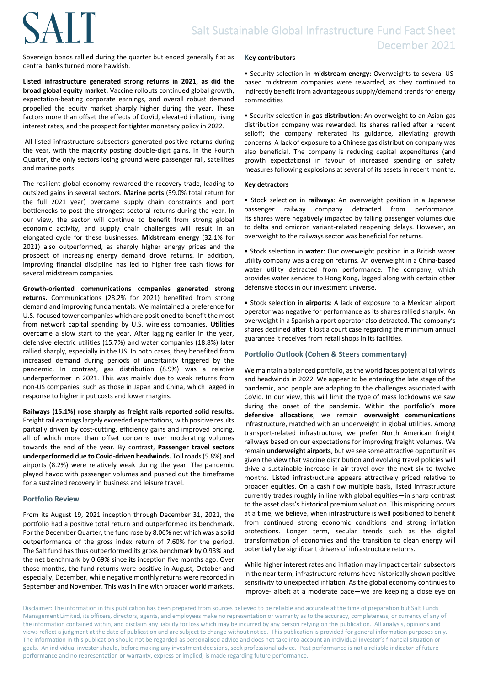# **SALT**

Sovereign bonds rallied during the quarter but ended generally flat as central banks turned more hawkish.

**Listed infrastructure generated strong returns in 2021, as did the broad global equity market.** Vaccine rollouts continued global growth, expectation-beating corporate earnings, and overall robust demand propelled the equity market sharply higher during the year. These factors more than offset the effects of CoVid, elevated inflation, rising interest rates, and the prospect for tighter monetary policy in 2022.

All listed infrastructure subsectors generated positive returns during the year, with the majority posting double-digit gains. In the Fourth Quarter, the only sectors losing ground were passenger rail, satellites and marine ports.

The resilient global economy rewarded the recovery trade, leading to outsized gains in several sectors. **Marine ports** (39.0% total return for the full 2021 year) overcame supply chain constraints and port bottlenecks to post the strongest sectoral returns during the year. In our view, the sector will continue to benefit from strong global economic activity, and supply chain challenges will result in an elongated cycle for these businesses. **Midstream energy** (32.1% for 2021) also outperformed, as sharply higher energy prices and the prospect of increasing energy demand drove returns. In addition, improving financial discipline has led to higher free cash flows for several midstream companies.

**Growth-oriented communications companies generated strong returns.** Communications (28.2% for 2021) benefited from strong demand and improving fundamentals. We maintained a preference for U.S.-focused tower companies which are positioned to benefit the most from network capital spending by U.S. wireless companies. **Utilities**  overcame a slow start to the year. After lagging earlier in the year, defensive electric utilities (15.7%) and water companies (18.8%) later rallied sharply, especially in the US. In both cases, they benefited from increased demand during periods of uncertainty triggered by the pandemic. In contrast, gas distribution (8.9%) was a relative underperformer in 2021. This was mainly due to weak returns from non-US companies, such as those in Japan and China, which lagged in response to higher input costs and lower margins.

**Railways (15.1%) rose sharply as freight rails reported solid results.**  Freight rail earnings largely exceeded expectations, with positive results partially driven by cost-cutting, efficiency gains and improved pricing, all of which more than offset concerns over moderating volumes towards the end of the year. By contrast, **Passenger travel sectors underperformed due to Covid-driven headwinds.** Toll roads (5.8%) and airports (8.2%) were relatively weak during the year. The pandemic played havoc with passenger volumes and pushed out the timeframe for a sustained recovery in business and leisure travel.

#### **Portfolio Review**

From its August 19, 2021 inception through December 31, 2021, the portfolio had a positive total return and outperformed its benchmark. For the December Quarter, the fund rose by 8.06% net which was a solid outperformance of the gross index return of 7.60% for the period. The Salt fund has thus outperformed its gross benchmark by 0.93% and the net benchmark by 0.69% since its inception five months ago. Over those months, the fund returns were positive in August, October and especially, December, while negative monthly returns were recorded in September and November. This was in line with broader world markets.

#### **Key contributors**

• Security selection in **midstream energy**: Overweights to several USbased midstream companies were rewarded, as they continued to indirectly benefit from advantageous supply/demand trends for energy commodities

• Security selection in **gas distribution**: An overweight to an Asian gas distribution company was rewarded. Its shares rallied after a recent selloff; the company reiterated its guidance, alleviating growth concerns. A lack of exposure to a Chinese gas distribution company was also beneficial. The company is reducing capital expenditures (and growth expectations) in favour of increased spending on safety measures following explosions at several of its assets in recent months.

#### **Key detractors**

• Stock selection in **railways**: An overweight position in a Japanese passenger railway company detracted from performance. Its shares were negatively impacted by falling passenger volumes due to delta and omicron variant-related reopening delays. However, an overweight to the railways sector was beneficial for returns.

• Stock selection in **water**: Our overweight position in a British water utility company was a drag on returns. An overweight in a China-based water utility detracted from performance. The company, which provides water services to Hong Kong, lagged along with certain other defensive stocks in our investment universe.

• Stock selection in **airports**: A lack of exposure to a Mexican airport operator was negative for performance as its shares rallied sharply. An overweight in a Spanish airport operator also detracted. The company's shares declined after it lost a court case regarding the minimum annual guarantee it receives from retail shops in its facilities.

#### **Portfolio Outlook (Cohen & Steers commentary)**

We maintain a balanced portfolio, as the world faces potential tailwinds and headwinds in 2022. We appear to be entering the late stage of the pandemic, and people are adapting to the challenges associated with CoVid. In our view, this will limit the type of mass lockdowns we saw during the onset of the pandemic. Within the portfolio's **more defensive allocations**, we remain **overweight communications** infrastructure, matched with an underweight in global utilities. Among transport-related infrastructure, we prefer North American freight railways based on our expectations for improving freight volumes. We remain **underweight airports**, but we see some attractive opportunities given the view that vaccine distribution and evolving travel policies will drive a sustainable increase in air travel over the next six to twelve months. Listed infrastructure appears attractively priced relative to broader equities. On a cash flow multiple basis, listed infrastructure currently trades roughly in line with global equities—in sharp contrast to the asset class's historical premium valuation. This mispricing occurs at a time, we believe, when infrastructure is well positioned to benefit from continued strong economic conditions and strong inflation protections. Longer term, secular trends such as the digital transformation of economies and the transition to clean energy will potentially be significant drivers of infrastructure returns.

While higher interest rates and inflation may impact certain subsectors in the near term, infrastructure returns have historically shown positive sensitivity to unexpected inflation. As the global economy continues to improve- albeit at a moderate pace—we are keeping a close eye on

Disclaimer: The information in this publication has been prepared from sources believed to be reliable and accurate at the time of preparation but Salt Funds Management Limited, its officers, directors, agents, and employees make no representation or warranty as to the accuracy, completeness, or currency of any of the information contained within, and disclaim any liability for loss which may be incurred by any person relying on this publication. All analysis, opinions and views reflect a judgment at the date of publication and are subject to change without notice. This publication is provided for general information purposes only. The information in this publication should not be regarded as personalised advice and does not take into account an individual investor's financial situation or goals. An individual investor should, before making any investment decisions, seek professional advice. Past performance is not a reliable indicator of future performance and no representation or warranty, express or implied, is made regarding future performance.